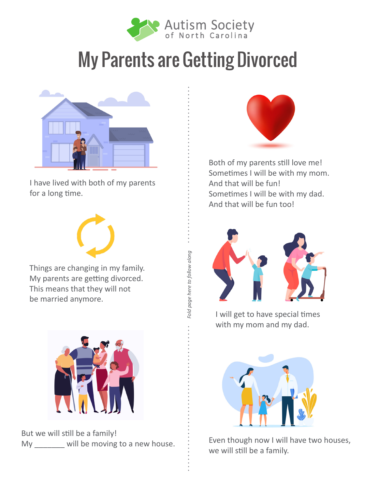

*Fold page here to follow along*

Fold page here to follow along



I have lived with both of my parents for a long time.



Things are changing in my family. My parents are getting divorced. This means that they will not be married anymore.



But we will still be a family! My will be moving to a new house.



Both of my parents still love me! Sometimes I will be with my mom. And that will be fun! Sometimes I will be with my dad. And that will be fun too!



I will get to have special times with my mom and my dad.



Even though now I will have two houses, we will still be a family.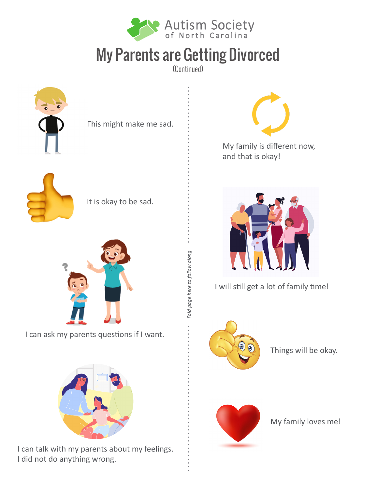

(Continued)

*Fold page here to follow along*

Fold page here to follow along







It is okay to be sad.



I can ask my parents questions if I want.



I can talk with my parents about my feelings. I did not do anything wrong.



My family is different now, and that is okay!



I will still get a lot of family time!



Things will be okay.



My family loves me!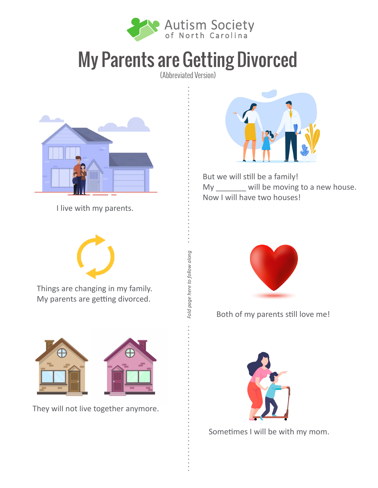

(Abbreviated Version)

*Fold page here to follow along*

Fold page here to follow along



I live with my parents.



But we will still be a family! My \_\_\_\_\_\_\_ will be moving to a new house. Now I will have two houses!



Things are changing in my family. My parents are getting divorced.



They will not live together anymore.



Both of my parents still love me!



Sometimes I will be with my mom.